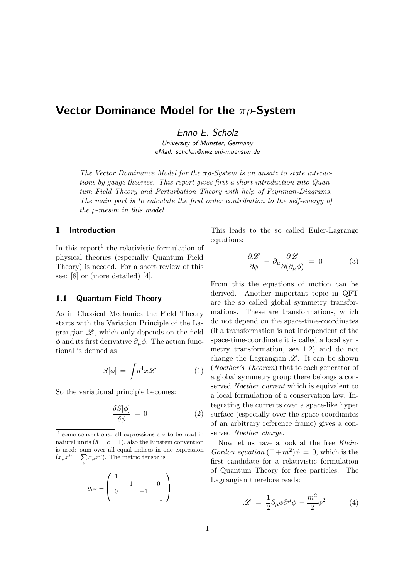# Vector Dominance Model for the  $\pi \rho$ -System

Enno E. Scholz

University of Münster, Germany eMail: scholen@nwz.uni-muenster.de

The Vector Dominance Model for the  $\pi \rho$ -System is an ansatz to state interactions by gauge theories. This report gives first a short introduction into Quantum Field Theory and Perturbation Theory with help of Feynman-Diagrams. The main part is to calculate the first order contribution to the self-energy of the ρ-meson in this model.

## 1 Introduction

In this report<sup>1</sup> the relativistic formulation of physical theories (especially Quantum Field Theory) is needed. For a short review of this see: [8] or (more detailed) [4].

#### 1.1 Quantum Field Theory

As in Classical Mechanics the Field Theory starts with the Variation Principle of the Lagrangian  $\mathscr{L}$ , which only depends on the field  $\phi$  and its first derivative  $\partial_{\mu}\phi$ . The action functional is defined as

$$
S[\phi] = \int d^4x \mathscr{L} \qquad (1) \quad \begin{array}{c} (Noe \\ \text{a glo} \end{array})
$$

So the variational principle becomes:

$$
\frac{\delta S[\phi]}{\delta \phi} = 0 \tag{2}
$$

<sup>1</sup> some conventions: all expressions are to be read in natural units ( $\hbar = c = 1$ ), also the Einstein convention is used: sum over all equal indices in one expression  $(x_{\mu}x^{\mu} = \sum_{\mu} x_{\mu}x^{\mu}).$  The metric tensor is

|                | $\sim$ |              |      |  |
|----------------|--------|--------------|------|--|
| $g_{\mu\nu} =$ |        | $\mathbf{r}$ |      |  |
|                |        |              | $-1$ |  |

This leads to the so called Euler-Lagrange equations:

$$
\frac{\partial \mathcal{L}}{\partial \phi} - \partial_{\mu} \frac{\partial \mathcal{L}}{\partial(\partial_{\mu} \phi)} = 0 \tag{3}
$$

From this the equations of motion can be derived. Another important topic in QFT are the so called global symmetry transformations. These are transformations, which do not depend on the space-time-coordinates (if a transformation is not independent of the space-time-coordinate it is called a local symmetry transformation, see 1.2) and do not change the Lagrangian  $\mathscr{L}$ . It can be shown (Noether's Theorem) that to each generator of a global symmetry group there belongs a conserved Noether current which is equivalent to a local formulation of a conservation law. Integrating the currents over a space-like hyper surface (especially over the space coordiantes of an arbitrary reference frame) gives a conserved Noether charge.

Now let us have a look at the free Klein-Gordon equation  $(\Box + m^2)\phi = 0$ , which is the first candidate for a relativistic formulation of Quantum Theory for free particles. The Lagrangian therefore reads:

$$
\mathcal{L} = \frac{1}{2} \partial_{\mu} \phi \partial^{\mu} \phi - \frac{m^2}{2} \phi^2 \tag{4}
$$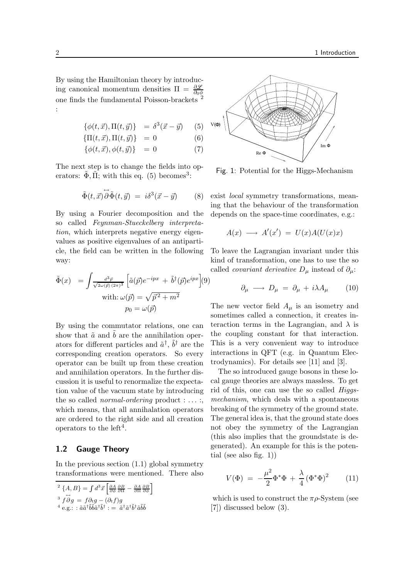By using the Hamiltonian theory by introducing canonical momentum densities  $\Pi = \frac{\partial \mathscr{L}}{\partial \phi}$ one finds the fundamental Poisson-brackets <sup>2</sup> :

$$
\{\phi(t, \vec{x}), \Pi(t, \vec{y})\} = \delta^3(\vec{x} - \vec{y}) \qquad (5)
$$

$$
\{\Pi(t,\vec{x}),\Pi(t,\vec{y})\} = 0 \tag{6}
$$

$$
\{\phi(t,\vec{x}),\phi(t,\vec{y})\} = 0 \tag{7}
$$

The next step is to change the fields into operators:  $\tilde{\Phi}$ ,  $\tilde{\Pi}$ ; with this eq. (5) becomes<sup>3</sup>:

$$
\tilde{\Phi}(t,\vec{x})\overrightarrow{\partial}\tilde{\Phi}(t,\vec{y}) = i\delta^3(\vec{x}-\vec{y}) \qquad (8)
$$

By using a Fourier decomposition and the so called Feynman-Stueckelberg interpretation, which interprets negative energy eigenvalues as positive eigenvalues of an antiparticle, the field can be written in the following way:

$$
\tilde{\Phi}(x) = \int \frac{d^3 \vec{p}}{\sqrt{2\omega(\vec{p})(2\pi)^3}} \left[ \tilde{a}(\vec{p})e^{-ipx} + \tilde{b}^\dagger(\vec{p})e^{ipx} \right](9)
$$
\n
$$
\text{with: } \omega(\vec{p}) = \sqrt{\vec{p}^2 + m^2}
$$
\n
$$
p_0 = \omega(\vec{p})
$$

By using the commutator relations, one can show that  $\tilde{a}$  and  $b$  are the annihilation operators for different particles and  $\tilde{a}^{\dagger}$ ,  $\tilde{b}^{\dagger}$  are the corresponding creation operators. So every operator can be built up from these creation and annihilation operators. In the further discussion it is useful to renormalize the expectation value of the vacuum state by introducing the so called *normal-ordering* product  $: \ldots :$ which means, that all annihalation operators are ordered to the right side and all creation operators to the  $left<sup>4</sup>$ .

#### 1.2 Gauge Theory

In the previous section  $(1.1)$  global symmetry transformations were mentioned. There also

$$
{}^{2}\{A,B\} = \int d^{3}\vec{x} \left[\frac{\partial A}{\partial \phi} \frac{\partial B}{\partial \Pi} - \frac{\partial A}{\partial \Pi} \frac{\partial B}{\partial \phi}\right]
$$
  

$$
{}^{3}\vec{f} \overrightarrow{\partial} g = f \partial_{t} g - (\partial_{t} f) g
$$
  

$$
{}^{4} e.g.:: \tilde{a} \tilde{a}^{\dagger} \tilde{b} \tilde{b} \tilde{a}^{\dagger} \tilde{b}^{\dagger} := \tilde{a}^{\dagger} \tilde{a}^{\dagger} \tilde{b}^{\dagger} \tilde{a} \tilde{b} \tilde{b}
$$



Fig. 1: Potential for the Higgs-Mechanism

exist local symmetry transformations, meaning that the behaviour of the transformation depends on the space-time coordinates, e.g.:

$$
A(x) \longrightarrow A'(x') = U(x)A(U(x)x)
$$

To leave the Lagrangian invariant under this kind of transformation, one has to use the so called *covariant derivative*  $D_{\mu}$  instead of  $\partial_{\mu}$ :

$$
\partial_{\mu} \longrightarrow D_{\mu} = \partial_{\mu} + i\lambda A_{\mu} \qquad (10)
$$

The new vector field  $A_\mu$  is an isometry and sometimes called a connection, it creates interaction terms in the Lagrangian, and  $\lambda$  is the coupling constant for that interaction. This is a very convenient way to introduce interactions in QFT (e.g. in Quantum Electrodynamics). For details see [11] and [3].

The so introduced gauge bosons in these local gauge theories are always massless. To get rid of this, one can use the so called Higgsmechanism, which deals with a spontaneous breaking of the symmetry of the ground state. The general idea is, that the ground state does not obey the symmetry of the Lagrangian (this also implies that the groundstate is degenerated). An example for this is the potential (see also fig. 1))

$$
V(\Phi) = -\frac{\mu^2}{2} \Phi^* \Phi + \frac{\lambda}{4} (\Phi^* \Phi)^2 \qquad (11)
$$

which is used to construct the  $\pi \rho$ -System (see [7]) discussed below (3).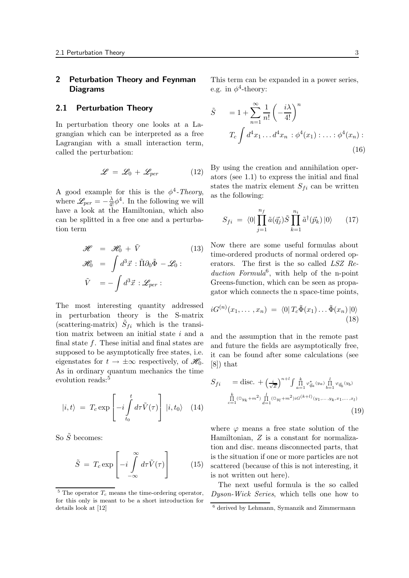# 2 Peturbation Theory and Feynman Diagrams

#### 2.1 Perturbation Theory

In perturbation theory one looks at a Lagrangian which can be interpreted as a free Lagrangian with a small interaction term, called the perturbation:

$$
\mathscr{L} = \mathscr{L}_0 + \mathscr{L}_{per} \tag{12}
$$

A good example for this is the  $\phi^4$ -Theory, where  $\mathscr{L}_{per} = -\frac{\lambda}{4!} \phi^4$ . In the following we will have a look at the Hamiltonian, which also can be splitted in a free one and a perturbation term

$$
\mathcal{H} = \mathcal{H}_0 + \tilde{V} \qquad (13)
$$
\n
$$
\mathcal{H}_0 = \int d^3 \vec{x} : \tilde{\Pi} \partial_0 \tilde{\Phi} - \mathcal{L}_0 : \qquad \text{erg}
$$
\n
$$
\tilde{V} = -\int d^3 \vec{x} : \mathcal{L}_{per} : \qquad \text{Gr}
$$
\n
$$
\text{gat}
$$

The most interesting quantity addressed in perturbation theory is the S-matrix (scattering-matrix)  $\tilde{S}_{fi}$  which is the transition matrix between an initial state  $i$  and a final state  $f$ . These initial and final states are supposed to be asymptotically free states, i.e. eigenstates for  $t \to \pm \infty$  respectively, of  $\mathscr{H}_0$ . [8]) that As in ordinary quantum mechanics the time evolution reads:<sup>5</sup>

$$
|i,t\rangle = T_c \exp\left[-i \int\limits_{t_0}^t d\tau \tilde{V}(\tau)\right] |i,t_0\rangle \quad (14)
$$

So  $\tilde{S}$  becomes:

$$
\tilde{S} = T_c \exp\left[-i \int\limits_{-\infty}^{\infty} d\tau \tilde{V}(\tau)\right]
$$
 (15)

This term can be expanded in a power series, e.g. in  $\phi^4$ -theory:

$$
\tilde{S} = 1 + \sum_{n=1}^{\infty} \frac{1}{n!} \left( -\frac{i\lambda}{4!} \right)^n
$$
  

$$
T_c \int d^4 x_1 \dots d^4 x_n : \phi^4(x_1) : \dots : \phi^4(x_n) :
$$
  
(16)

By using the creation and annihilation operators (see 1.1) to express the initial and final states the matrix element  $S_{fi}$  can be written as the following:

$$
S_{fi} = \langle 0| \prod_{j=1}^{n_f} \tilde{a}(\vec{q}_j) \tilde{S} \prod_{k=1}^{n_i} \tilde{a}^\dagger(\vec{p}_k) |0\rangle \qquad (17)
$$

 $\vec{x}$ :  $\tilde{\Pi} \partial_0 \tilde{\Phi} - \mathcal{L}_0$ : erators. The first is the so called LSZ Re-Now there are some useful formulas about time-ordered products of normal ordered opduction Formula<sup>6</sup>, with help of the n-point Greens-function, which can be seen as propagator which connects the n space-time points,

$$
iG^{(n)}(x_1,\ldots,x_n) = \langle 0|T_c\tilde{\Phi}(x_1)\ldots\tilde{\Phi}(x_n)|0\rangle
$$
\n(18)

and the assumption that in the remote past and future the fields are asymptotically free, it can be found after some calculations (see [8]) that

$$
S_{fi} = \text{disc.} + \left(\frac{i}{\sqrt{Z}}\right)^{n+l} \int \prod_{a=1}^{k} \varphi_{\vec{q}_a}(y_a) \prod_{b=1}^{l} \varphi_{\vec{q}_b}(y_b)
$$

$$
\prod_{c=1}^{k} (\Box y_k + m^2) \prod_{d=1}^{l} (\Box y_l + m^2) i G^{(k+l)}(y_1, \dots, y_k, x_1, \dots, x_l)
$$
(19)

where  $\varphi$  means a free state solution of the Hamiltonian, Z is a constant for normalization and disc. means disconnected parts, that is the situation if one or more particles are not scattered (because of this is not interesting, it is not written out here).

The next useful formula is the so called Dyson-Wick Series, which tells one how to

 $5$  The operator  $T_c$  means the time-ordering operator, for this only is meant to be a short introduction for details look at [12]

<sup>6</sup> derived by Lehmann, Symanzik and Zimmermann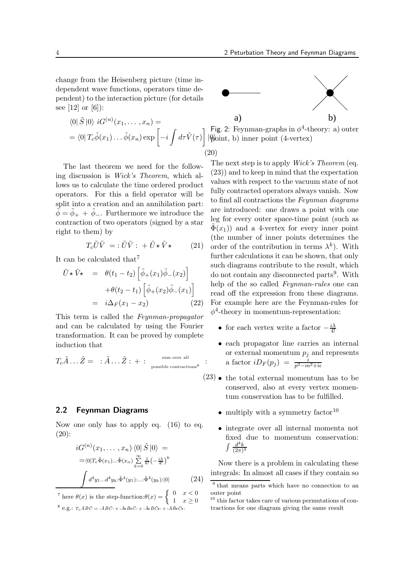change from the Heisenberg picture (time independent wave functions, operators time dependent) to the interaction picture (for details see [12] or [6]):

$$
\langle 0|\tilde{S}|0\rangle iG^{(n)}(x_1,\ldots,x_n) =
$$
  
= 
$$
\langle 0|T_c\tilde{\phi}(x_1)\ldots\tilde{\phi}(x_n) \exp\left[-i\int d\tau \tilde{V}(\tau)\right]
$$

The last theorem we need for the following discussion is Wick's Theorem, which allows us to calculate the time ordered product operators. For this a field operator will be split into a creation and an annihilation part:  $\dot{\phi} = \dot{\phi}_+ + \dot{\phi}_-$ . Furthermore we introduce the contraction of two operators (signed by a star right to them) by

$$
T_c \tilde{U}\tilde{V} = : \tilde{U}\tilde{V} : + \tilde{U} \star \tilde{V} \star \qquad (21)
$$

It can be calculated that<sup>7</sup>

$$
\tilde{U} \star \tilde{V} \star = \theta(t_1 - t_2) \left[ \tilde{\phi}_+(x_1) \tilde{\phi}_-(x_2) \right]
$$

$$
+ \theta(t_2 - t_1) \left[ \tilde{\phi}_+(x_2) \tilde{\phi}_-(x_1) \right]
$$

$$
= i \Delta_F(x_1 - x_2) \tag{22}
$$

This term is called the Feynman-propagator and can be calculated by using the Fourier transformation. It can be proved by complete induction that

$$
T_c \tilde{A} \dots \tilde{Z} = \begin{array}{c} : \tilde{A} \dots \tilde{Z} : + : & \xrightarrow{\text{sum over all}} \\ \text{possible contractions}^8 \end{array} :
$$

#### 2.2 Feynman Diagrams

Now one only has to apply eq. (16) to eq. (20):

$$
iG^{(n)}(x_1, \dots, x_n) \langle 0 | \tilde{S} | 0 \rangle =
$$
  
=\langle 0 | T\_c \tilde{\Phi}(x\_1) ... \tilde{\Phi}(x\_n) \sum\_{k=0}^{\infty} \frac{1}{k!} \left( -\frac{i\lambda}{4!} \right)^k  

$$
\int d^4 y_1 ... d^4 y_k \cdot \tilde{\Phi}^4(y_1) ... \cdot \tilde{\Phi}^4(y_k) : | 0 \rangle
$$
 (24)

<sup>7</sup> here  $\theta(x)$  is the step-function: $\theta(x) = \begin{cases} 0 & x < 0 \\ 1 & x > 0 \end{cases}$ 



 $|\phi|$ oint, b) inner point (4-vertex) Fig. 2: Feynman-graphs in  $\phi^4$ -theory: a) outer

(20)

The next step is to apply *Wick's Theorem* (eq. (23)) and to keep in mind that the expectation values with respect to the vacuum state of not fully contracted operators always vanish. Now to find all contractions the Feynman diagrams are introduced: one draws a point with one leg for every outer space-time point (such as  $\Phi(x_1)$ ) and a 4-vertex for every inner point (the number of inner points determines the order of the contribution in terms  $\lambda^k$ ). With further calculations it can be shown, that only such diagrams contribute to the result, which do not contain any disconnected parts<sup>9</sup>. With help of the so called Feynman-rules one can read off the expression from these diagrams. For example here are the Feynman-rules for  $\phi^4$ -theory in momentum-representation:

- for each vertex write a factor  $-\frac{i\lambda}{4!}$
- each propagator line carries an internal or external momentum  $p_j$  and represents a factor  $iD_F(p_j) = \frac{i}{n^2-m}$  $p^2-m^2+i\epsilon$
- (23) the total external momentum has to be conserved, also at every vertex momentum conservation has to be fulfilled.
	- multiply with a symmetry factor  $10$
	- integrate over all internal momenta not fixed due to momentum conservation:  $\int \frac{d^4k}{(2\pi)}$  $(2\pi)^4$

Now there is a problem in calculating these integrals: In almost all cases if they contain so

 $8 \text{ e.g.: } T_c \tilde{A} \tilde{B} \tilde{C} = : \tilde{A} \tilde{B} \tilde{C} : + : \tilde{A} \tilde{B} \tilde{C} : + : \tilde{A} \tilde{B} \tilde{C} * : + : \tilde{A} \tilde{B} \tilde{C} * : + : \tilde{A} \tilde{B} \tilde{C} * :$ 

<sup>9</sup> that means parts which have no connection to an outer point

<sup>10</sup> this factor takes care of various permutations of contractions for one diagram giving the same result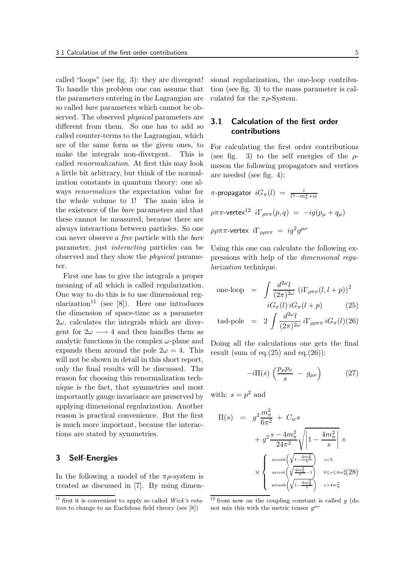called "loops" (see fig. 3): they are divergent! To handle this problem one can assume that the parameters entering in the Lagrangian are so called bare parameters which cannot be observed. The observed *physical* parameters are different from them. So one has to add so called counter-terms to the Lagrangian, which are of the same form as the given ones, to make the integrals non-divergent. This is called renormalization. At first this may look a little bit arbitrary, but think of the normalization constants in quantum theory: one always renormalizes the expectation value for the whole volume to 1! The main idea is the existence of the bare parameters and that these cannot be measured, because there are always interactions between particles. So one can never observe a free particle with the bare parameter, just interacting particles can be observed and they show the physical parameter.

First one has to give the integrals a proper meaning of all which is called regularization. One way to do this is to use dimensional regularization<sup>11</sup> (see [8]). Here one introduces the dimension of space-time as a parameter  $2\omega$ , calculates the integrals which are divergent for  $2\omega \longrightarrow 4$  and then handles them as analytic functions in the complex  $\omega$ -plane and expands them around the pole  $2\omega = 4$ . This will not be shown in detail in this short report, only the final results will be discussed. The reason for choosing this renormalization technique is the fact, that symmetries and most importantly gauge invariance are preserved by applying dimensional regularization. Another reason is practical convenience. But the first is much more important, because the interactions are stated by symmetries.

#### 3 Self-Energies

In the following a model of the  $\pi \rho$ -system is treated as discussed in [7]. By using dimensional regularization, the one-loop contribution (see fig. 3) to the mass parameter is calculated for the  $\pi \rho$ -System.

# 3.1 Calculation of the first order contributions

For calculating the first order contributions (see fig. 3) to the self energies of the  $\rho$ meson the following propagators and vertices are needed (see fig. 4):

$$
\pi\text{-propagator } iG_{\pi}(l) = \frac{i}{l^2 - m_{\pi}^2 + i\epsilon}
$$
\n
$$
\rho\pi\pi\text{-vertex}^{12} i\Gamma_{\rho\pi\pi}(p, q) = -ig(p_{\mu} + q_{\mu})
$$
\n
$$
\rho\rho\pi\pi\text{-vertex } i\Gamma_{\rho\rho\pi\pi} = ig^{2}g^{\mu\nu}
$$

Using this one can calculate the following expressions with help of the dimensional regularization technique.

one-loop 
$$
= \int \frac{d^{2\omega}l}{(2\pi)^{2\omega}} (i\Gamma_{\rho\pi\pi}(l, l+p))^2
$$

$$
iG_{\pi}(l) iG_{\pi}(l+p)
$$
(25)

tad-pole = 
$$
2 \int \frac{d^{2\omega}l}{(2\pi)^{2\omega}} i \Gamma_{\rho\rho\pi\pi} i G_{\pi}(l)(26)
$$

Doing all the calculations one gets the final result (sum of eq. $(25)$  and eq. $(26)$ ):

$$
-i\Pi(s)\left(\frac{p_\mu p_\nu}{s} - g_{\mu\nu}\right) \tag{27}
$$

with:  $s = p^2$  and

$$
\Pi(s) = g^2 \frac{m_\pi^2}{6\pi^2} + C_w s
$$
  
+  $g^2 \frac{s - 4m_\pi^2}{24\pi^2} \sqrt{\left|1 - \frac{4m_\pi^2}{s}\right|} \times$   
 $\times \begin{cases} \arcoth\left(\sqrt{1 - \frac{4m_\pi^2}{s}}\right) & s < 0 \\ \arccot\left(\sqrt{\frac{4m_\pi^2}{s} - 1}\right) & 0 \le s \le 4m_\pi^2 (28) \\ \arctanh\left(\sqrt{1 - \frac{4m_\pi^2}{s}}\right) & s > 4m_\pi^2 \end{cases}$ 

 $\frac{11}{11}$  first it is convenient to apply so called Wick's rotation to change to an Euclidean field theory (see [8])

 $\frac{12}{12}$  from now on the coupling constant is called g (do not mix this with the metric tensor  $g^{\mu\nu}$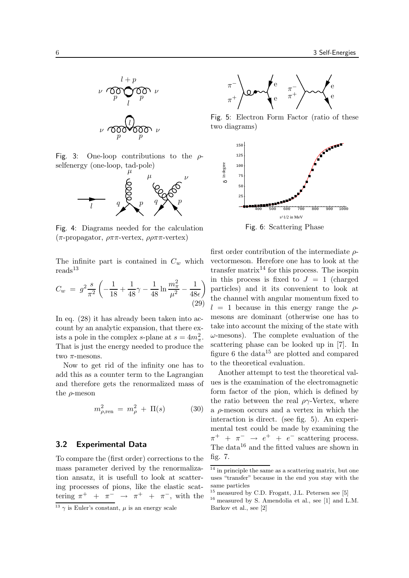

Fig. 3: One-loop contributions to the  $\rho$ selfenergy (one-loop, tad-pole)



Fig. 4: Diagrams needed for the calculation (π-propagator,  $\rho \pi \pi$ -vertex,  $\rho \rho \pi \pi$ -vertex)

The infinite part is contained in  $C_w$  which  $\rm{reads}^{13}$ 

$$
C_w = g^2 \frac{s}{\pi^2} \left( -\frac{1}{18} + \frac{1}{48} \gamma - \frac{1}{48} \ln \frac{m_\pi^2}{\mu^2} - \frac{1}{48\epsilon} \right)
$$
\n(29)

In eq. (28) it has already been taken into account by an analytic expansion, that there exists a pole in the complex s-plane at  $s = 4m_{\pi}^2$ . That is just the energy needed to produce the two  $\pi$ -mesons.

Now to get rid of the infinity one has to add this as a counter term to the Lagrangian and therefore gets the renormalized mass of the  $\rho$ -meson

$$
m_{\rho, \text{ren}}^2 = m_{\rho}^2 + \Pi(s) \tag{30}
$$

#### 3.2 Experimental Data

To compare the (first order) corrections to the mass parameter derived by the renormalization ansatz, it is usefull to look at scattering processes of pions, like the elastic scattering  $\pi^+$  +  $\pi^ \rightarrow \pi^+$  +  $\pi^-$ , with the





Fig. 5: Electron Form Factor (ratio of these two diagrams)



first order contribution of the intermediate  $\rho$ vectormeson. Herefore one has to look at the transfer matrix<sup>14</sup> for this process. The isospin in this process is fixed to  $J = 1$  (charged particles) and it its convenient to look at the channel with angular momentum fixed to  $l = 1$  because in this energy range the  $\rho$ mesons are dominant (otherwise one has to take into account the mixing of the state with  $\omega$ -mesons). The complete evaluation of the scattering phase can be looked up in [7]. In figure 6 the data $15$  are plotted and compared to the theoretical evaluation.

Another attempt to test the theoretical values is the examination of the electromagnetic form factor of the pion, which is defined by the ratio between the real  $\rho\gamma$ -Vertex, where a ρ-meson occurs and a vertex in which the interaction is direct. (see fig. 5). An experimental test could be made by examining the  $\pi^+$  +  $\pi^ \rightarrow$   $e^+$  +  $e^-$  scattering process. The data<sup>16</sup> and the fitted values are shown in fig. 7.

 $\frac{14}{14}$  in principle the same as a scattering matrix, but one uses "transfer" because in the end you stay with the same particles

<sup>&</sup>lt;sup>15</sup> measured by C.D. Frogatt, J.L. Petersen see [5]

 $^{16}$  measured by S. Amendolia et al., see [1] and L.M. Barkov et al., see [2]